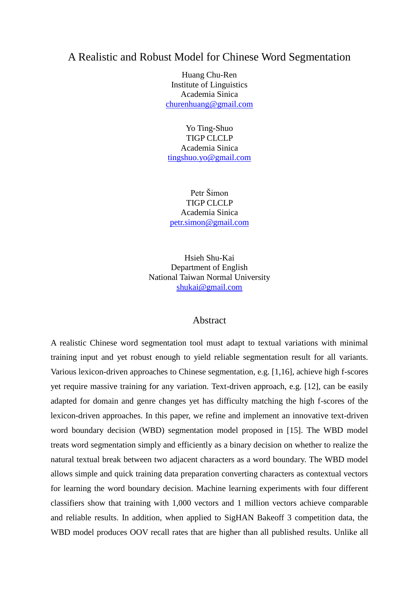# A Realistic and Robust Model for Chinese Word Segmentation

Huang Chu-Ren Institute of Linguistics Academia Sinica [churenhuang@gmail.com](mailto:churenhuang@gmail.com)

Yo Ting-Shuo TIGP CLCLP Academia Sinica [tingshuo.yo@gmail.com](mailto:tingshuo.yo@gmail.com)

Petr Šimon TIGP CLCLP Academia Sinica [petr.simon@gmail.com](mailto:churenhuang@gmail.com)

Hsieh Shu-Kai Department of English National Taiwan Normal University [shukai@gmail.com](mailto:churenhuang@gmail.com)

# Abstract

A realistic Chinese word segmentation tool must adapt to textual variations with minimal training input and yet robust enough to yield reliable segmentation result for all variants. Various lexicon-driven approaches to Chinese segmentation, e.g. [1,16], achieve high f-scores yet require massive training for any variation. Text-driven approach, e.g. [12], can be easily adapted for domain and genre changes yet has difficulty matching the high f-scores of the lexicon-driven approaches. In this paper, we refine and implement an innovative text-driven word boundary decision (WBD) segmentation model proposed in [15]. The WBD model treats word segmentation simply and efficiently as a binary decision on whether to realize the natural textual break between two adjacent characters as a word boundary. The WBD model allows simple and quick training data preparation converting characters as contextual vectors for learning the word boundary decision. Machine learning experiments with four different classifiers show that training with 1,000 vectors and 1 million vectors achieve comparable and reliable results. In addition, when applied to SigHAN Bakeoff 3 competition data, the WBD model produces OOV recall rates that are higher than all published results. Unlike all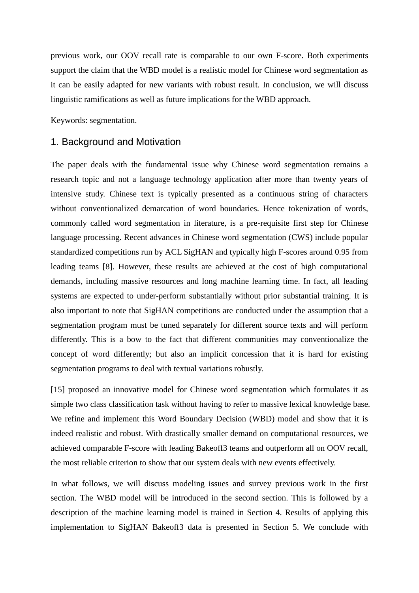previous work, our OOV recall rate is comparable to our own F-score. Both experiments support the claim that the WBD model is a realistic model for Chinese word segmentation as it can be easily adapted for new variants with robust result. In conclusion, we will discuss linguistic ramifications as well as future implications for the WBD approach.

Keywords: segmentation.

#### 1. Background and Motivation

The paper deals with the fundamental issue why Chinese word segmentation remains a research topic and not a language technology application after more than twenty years of intensive study. Chinese text is typically presented as a continuous string of characters without conventionalized demarcation of word boundaries. Hence tokenization of words, commonly called word segmentation in literature, is a pre-requisite first step for Chinese language processing. Recent advances in Chinese word segmentation (CWS) include popular standardized competitions run by ACL SigHAN and typically high F-scores around 0.95 from leading teams [8]. However, these results are achieved at the cost of high computational demands, including massive resources and long machine learning time. In fact, all leading systems are expected to under-perform substantially without prior substantial training. It is also important to note that SigHAN competitions are conducted under the assumption that a segmentation program must be tuned separately for different source texts and will perform differently. This is a bow to the fact that different communities may conventionalize the concept of word differently; but also an implicit concession that it is hard for existing segmentation programs to deal with textual variations robustly.

[15] proposed an innovative model for Chinese word segmentation which formulates it as simple two class classification task without having to refer to massive lexical knowledge base. We refine and implement this Word Boundary Decision (WBD) model and show that it is indeed realistic and robust. With drastically smaller demand on computational resources, we achieved comparable F-score with leading Bakeoff3 teams and outperform all on OOV recall, the most reliable criterion to show that our system deals with new events effectively.

In what follows, we will discuss modeling issues and survey previous work in the first section. The WBD model will be introduced in the second section. This is followed by a description of the machine learning model is trained in Section 4. Results of applying this implementation to SigHAN Bakeoff3 data is presented in Section 5. We conclude with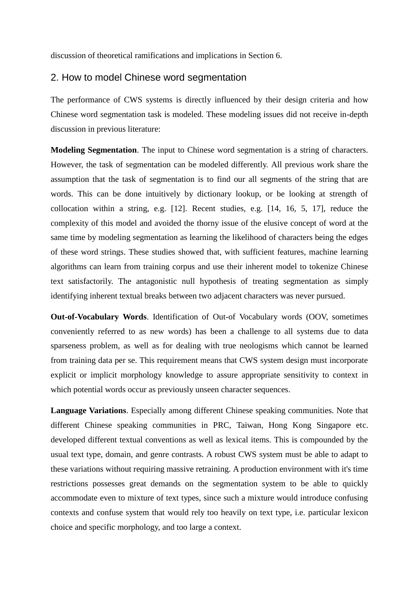discussion of theoretical ramifications and implications in Section 6.

# 2. How to model Chinese word segmentation

The performance of CWS systems is directly influenced by their design criteria and how Chinese word segmentation task is modeled. These modeling issues did not receive in-depth discussion in previous literature:

**Modeling Segmentation**. The input to Chinese word segmentation is a string of characters. However, the task of segmentation can be modeled differently. All previous work share the assumption that the task of segmentation is to find our all segments of the string that are words. This can be done intuitively by dictionary lookup, or be looking at strength of collocation within a string, e.g. [12]. Recent studies, e.g. [14, 16, 5, 17], reduce the complexity of this model and avoided the thorny issue of the elusive concept of word at the same time by modeling segmentation as learning the likelihood of characters being the edges of these word strings. These studies showed that, with sufficient features, machine learning algorithms can learn from training corpus and use their inherent model to tokenize Chinese text satisfactorily. The antagonistic null hypothesis of treating segmentation as simply identifying inherent textual breaks between two adjacent characters was never pursued.

**Out-of-Vocabulary Words**. Identification of Out-of Vocabulary words (OOV, sometimes conveniently referred to as new words) has been a challenge to all systems due to data sparseness problem, as well as for dealing with true neologisms which cannot be learned from training data per se. This requirement means that CWS system design must incorporate explicit or implicit morphology knowledge to assure appropriate sensitivity to context in which potential words occur as previously unseen character sequences.

**Language Variations**. Especially among different Chinese speaking communities. Note that different Chinese speaking communities in PRC, Taiwan, Hong Kong Singapore etc. developed different textual conventions as well as lexical items. This is compounded by the usual text type, domain, and genre contrasts. A robust CWS system must be able to adapt to these variations without requiring massive retraining. A production environment with it's time restrictions possesses great demands on the segmentation system to be able to quickly accommodate even to mixture of text types, since such a mixture would introduce confusing contexts and confuse system that would rely too heavily on text type, i.e. particular lexicon choice and specific morphology, and too large a context.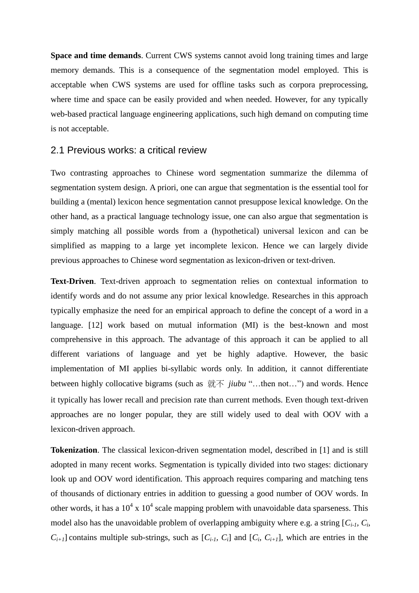**Space and time demands**. Current CWS systems cannot avoid long training times and large memory demands. This is a consequence of the segmentation model employed. This is acceptable when CWS systems are used for offline tasks such as corpora preprocessing, where time and space can be easily provided and when needed. However, for any typically web-based practical language engineering applications, such high demand on computing time is not acceptable.

## 2.1 Previous works: a critical review

Two contrasting approaches to Chinese word segmentation summarize the dilemma of segmentation system design. A priori, one can argue that segmentation is the essential tool for building a (mental) lexicon hence segmentation cannot presuppose lexical knowledge. On the other hand, as a practical language technology issue, one can also argue that segmentation is simply matching all possible words from a (hypothetical) universal lexicon and can be simplified as mapping to a large yet incomplete lexicon. Hence we can largely divide previous approaches to Chinese word segmentation as lexicon-driven or text-driven.

**Text-Driven**. Text-driven approach to segmentation relies on contextual information to identify words and do not assume any prior lexical knowledge. Researches in this approach typically emphasize the need for an empirical approach to define the concept of a word in a language. [12] work based on mutual information (MI) is the best-known and most comprehensive in this approach. The advantage of this approach it can be applied to all different variations of language and yet be highly adaptive. However, the basic implementation of MI applies bi-syllabic words only. In addition, it cannot differentiate between highly collocative bigrams (such as 就不 *jiubu* "...then not...") and words. Hence it typically has lower recall and precision rate than current methods. Even though text-driven approaches are no longer popular, they are still widely used to deal with OOV with a lexicon-driven approach.

**Tokenization**. The classical lexicon-driven segmentation model, described in [1] and is still adopted in many recent works. Segmentation is typically divided into two stages: dictionary look up and OOV word identification. This approach requires comparing and matching tens of thousands of dictionary entries in addition to guessing a good number of OOV words. In other words, it has a  $10^4$  x  $10^4$  scale mapping problem with unavoidable data sparseness. This model also has the unavoidable problem of overlapping ambiguity where e.g. a string  $[C_i, I, C_i]$  $C_{i+1}$ ] contains multiple sub-strings, such as  $[C_{i-1}, C_i]$  and  $[C_i, C_{i+1}]$ , which are entries in the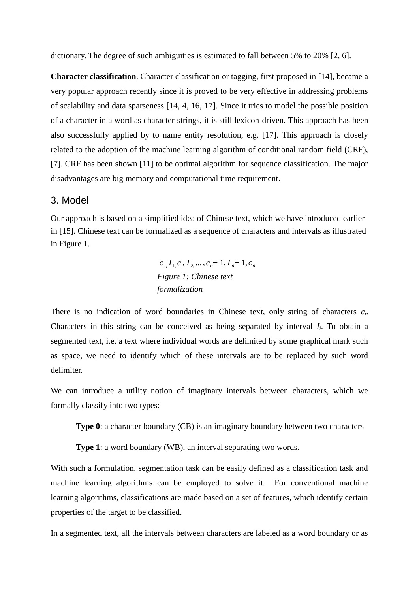dictionary. The degree of such ambiguities is estimated to fall between 5% to 20% [2, 6].

**Character classification**. Character classification or tagging, first proposed in [14], became a very popular approach recently since it is proved to be very effective in addressing problems of scalability and data sparseness [14, 4, 16, 17]. Since it tries to model the possible position of a character in a word as character-strings, it is still lexicon-driven. This approach has been also successfully applied by to name entity resolution, e.g. [17]. This approach is closely related to the adoption of the machine learning algorithm of conditional random field (CRF), [7]. CRF has been shown [11] to be optimal algorithm for sequence classification. The major disadvantages are big memory and computational time requirement.

## 3. Model

Our approach is based on a simplified idea of Chinese text, which we have introduced earlier in [15]. Chinese text can be formalized as a sequence of characters and intervals as illustrated in Figure 1.

> $c_1, I_1, c_2, I_2, \ldots, c_n - 1, I_n - 1, c_n$ *Figure 1: Chinese text formalization*

There is no indication of word boundaries in Chinese text, only string of characters *c<sup>i</sup>* . Characters in this string can be conceived as being separated by interval *I<sup>i</sup>* . To obtain a segmented text, i.e. a text where individual words are delimited by some graphical mark such as space, we need to identify which of these intervals are to be replaced by such word delimiter.

We can introduce a utility notion of imaginary intervals between characters, which we formally classify into two types:

**Type 0**: a character boundary (CB) is an imaginary boundary between two characters

**Type 1**: a word boundary (WB), an interval separating two words.

With such a formulation, segmentation task can be easily defined as a classification task and machine learning algorithms can be employed to solve it. For conventional machine learning algorithms, classifications are made based on a set of features, which identify certain properties of the target to be classified.

In a segmented text, all the intervals between characters are labeled as a word boundary or as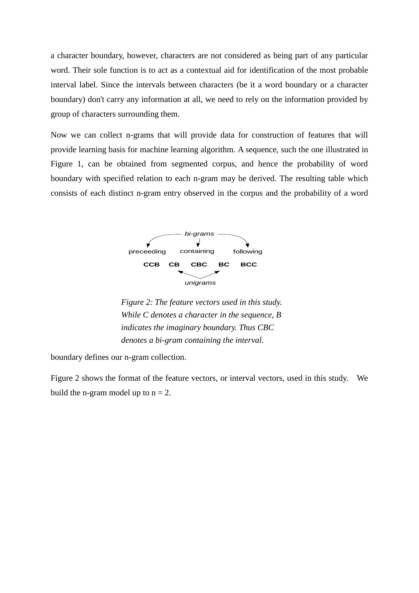a character boundary, however, characters are not considered as being part of any particular word. Their sole function is to act as a contextual aid for identification of the most probable interval label. Since the intervals between characters (be it a word boundary or a character boundary) don't carry any information at all, we need to rely on the information provided by group of characters surrounding them.

Now we can collect n-grams that will provide data for construction of features that will provide learning basis for machine learning algorithm. A sequence, such the one illustrated in Figure 1, can be obtained from segmented corpus, and hence the probability of word boundary with specified relation to each n-gram may be derived. The resulting table which consists of each distinct n-gram entry observed in the corpus and the probability of a word



*Figure 2: The feature vectors used in this study. While C denotes a character in the sequence, B indicates the imaginary boundary. Thus CBC denotes a bi-gram containing the interval.*

boundary defines our n-gram collection.

Figure 2 shows the format of the feature vectors, or interval vectors, used in this study. We build the n-gram model up to  $n = 2$ .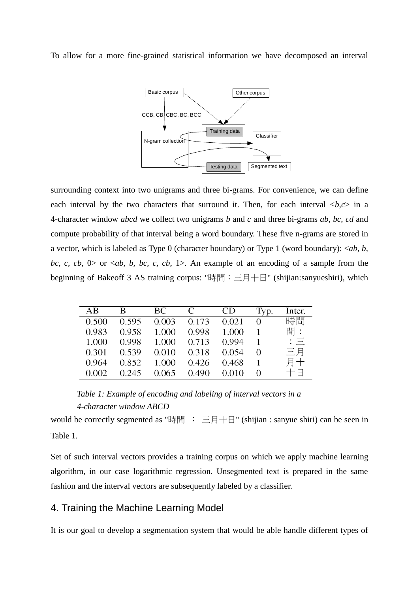To allow for a more fine-grained statistical information we have decomposed an interval



surrounding context into two unigrams and three bi-grams. For convenience, we can define each interval by the two characters that surround it. Then, for each interval  $\langle b, c \rangle$  in a 4-character window *abcd* we collect two unigrams *b* and *c* and three bi-grams *ab, bc, cd* and compute probability of that interval being a word boundary. These five n-grams are stored in a vector, which is labeled as Type 0 (character boundary) or Type 1 (word boundary): <*ab, b, bc, c, cb, 0> or <ab, b, bc, c, cb, 1>.* An example of an encoding of a sample from the beginning of Bakeoff 3 AS training corpus: "時間:三月十日" (shijian:sanyueshiri), which

| AB    | B     | BC.   | C     |       | Typ.     | Inter.        |
|-------|-------|-------|-------|-------|----------|---------------|
| 0.500 | 0.595 | 0.003 | 0.173 | 0.021 |          | 時間            |
| 0.983 | 0.958 | 1.000 | 0.998 | 1.000 |          | 間:            |
| 1.000 | 0.998 | 1.000 | 0.713 | 0.994 |          | $: \; \equiv$ |
| 0.301 | 0.539 | 0.010 | 0.318 | 0.054 | $\theta$ | 三月            |
| 0.964 | 0.852 | 1.000 | 0.426 | 0.468 |          | 月十            |
| 0.002 | 0.245 | 0.065 | 0.490 | 0.010 | $\theta$ | 十日            |

*Table 1: Example of encoding and labeling of interval vectors in a 4-character window ABCD*

would be correctly segmented as "時間 : 三月十日" (shijian : sanyue shiri) can be seen in Table 1.

Set of such interval vectors provides a training corpus on which we apply machine learning algorithm, in our case logarithmic regression. Unsegmented text is prepared in the same fashion and the interval vectors are subsequently labeled by a classifier.

# 4. Training the Machine Learning Model

It is our goal to develop a segmentation system that would be able handle different types of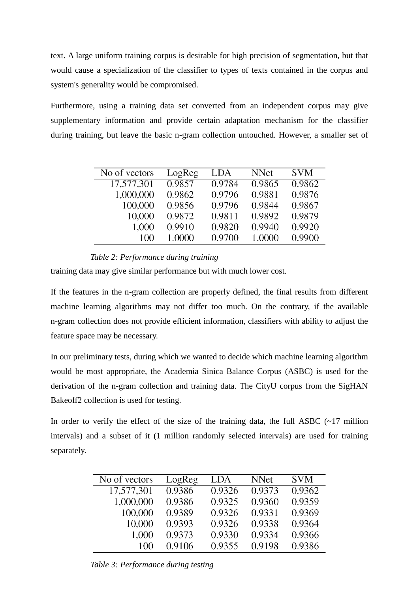text. A large uniform training corpus is desirable for high precision of segmentation, but that would cause a specialization of the classifier to types of texts contained in the corpus and system's generality would be compromised.

Furthermore, using a training data set converted from an independent corpus may give supplementary information and provide certain adaptation mechanism for the classifier during training, but leave the basic n-gram collection untouched. However, a smaller set of

| No of vectors | LogReg | LDA    | <b>NNet</b> | <b>SVM</b> |
|---------------|--------|--------|-------------|------------|
| 17,577,301    | 0.9857 | 0.9784 | 0.9865      | 0.9862     |
| 1,000,000     | 0.9862 | 0.9796 | 0.9881      | 0.9876     |
| 100,000       | 0.9856 | 0.9796 | 0.9844      | 0.9867     |
| 10,000        | 0.9872 | 0.9811 | 0.9892      | 0.9879     |
| 1,000         | 0.9910 | 0.9820 | 0.9940      | 0.9920     |
| 100           | 1.0000 | 0.9700 | 1.0000      | 0.9900     |

## *Table 2: Performance during training*

training data may give similar performance but with much lower cost.

If the features in the n-gram collection are properly defined, the final results from different machine learning algorithms may not differ too much. On the contrary, if the available n-gram collection does not provide efficient information, classifiers with ability to adjust the feature space may be necessary.

In our preliminary tests, during which we wanted to decide which machine learning algorithm would be most appropriate, the Academia Sinica Balance Corpus (ASBC) is used for the derivation of the n-gram collection and training data. The CityU corpus from the SigHAN Bakeoff2 collection is used for testing.

In order to verify the effect of the size of the training data, the full ASBC  $(\sim 17 \text{ million})$ intervals) and a subset of it (1 million randomly selected intervals) are used for training separately.

| No of vectors | LogReg | LDA    | <b>NNet</b> | <b>SVM</b> |
|---------------|--------|--------|-------------|------------|
| 17,577,301    | 0.9386 | 0.9326 | 0.9373      | 0.9362     |
| 1,000,000     | 0.9386 | 0.9325 | 0.9360      | 0.9359     |
| 100,000       | 0.9389 | 0.9326 | 0.9331      | 0.9369     |
| 10,000        | 0.9393 | 0.9326 | 0.9338      | 0.9364     |
| 1,000         | 0.9373 | 0.9330 | 0.9334      | 0.9366     |
| 100           | 0.9106 | 0.9355 | 0.9198      | 0.9386     |

*Table 3: Performance during testing*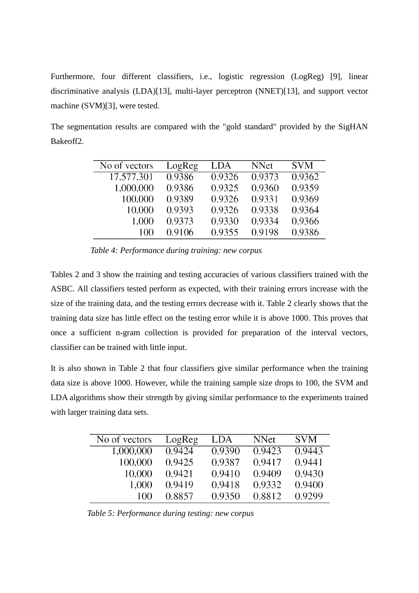Furthermore, four different classifiers, i.e., logistic regression (LogReg) [9], linear discriminative analysis (LDA)[13], multi-layer perceptron (NNET)[13], and support vector machine (SVM)[3], were tested.

The segmentation results are compared with the "gold standard" provided by the SigHAN Bakeoff2.

| No of vectors | LogReg | LDA    | <b>NNet</b> | <b>SVM</b> |
|---------------|--------|--------|-------------|------------|
| 17,577,301    | 0.9386 | 0.9326 | 0.9373      | 0.9362     |
| 1,000,000     | 0.9386 | 0.9325 | 0.9360      | 0.9359     |
| 100,000       | 0.9389 | 0.9326 | 0.9331      | 0.9369     |
| 10,000        | 0.9393 | 0.9326 | 0.9338      | 0.9364     |
| 1,000         | 0.9373 | 0.9330 | 0.9334      | 0.9366     |
| 100           | 0.9106 | 0.9355 | 0.9198      | 0.9386     |

*Table 4: Performance during training: new corpus*

Tables 2 and 3 show the training and testing accuracies of various classifiers trained with the ASBC. All classifiers tested perform as expected, with their training errors increase with the size of the training data, and the testing errors decrease with it. Table 2 clearly shows that the training data size has little effect on the testing error while it is above 1000. This proves that once a sufficient n-gram collection is provided for preparation of the interval vectors, classifier can be trained with little input.

It is also shown in Table 2 that four classifiers give similar performance when the training data size is above 1000. However, while the training sample size drops to 100, the SVM and LDA algorithms show their strength by giving similar performance to the experiments trained with larger training data sets.

| No of vectors | LogReg | LDA    | <b>NNet</b> | <b>SVM</b> |
|---------------|--------|--------|-------------|------------|
| 1,000,000     | 0.9424 | 0.9390 | 0.9423      | 0.9443     |
| 100,000       | 0.9425 | 0.9387 | 0.9417      | 0.9441     |
| 10,000        | 0.9421 | 0.9410 | 0.9409      | 0.9430     |
| 1,000         | 0.9419 | 0.9418 | 0.9332      | 0.9400     |
| 100           | 0.8857 | 0.9350 | 0.8812      | 0.9299     |

*Table 5: Performance during testing: new corpus*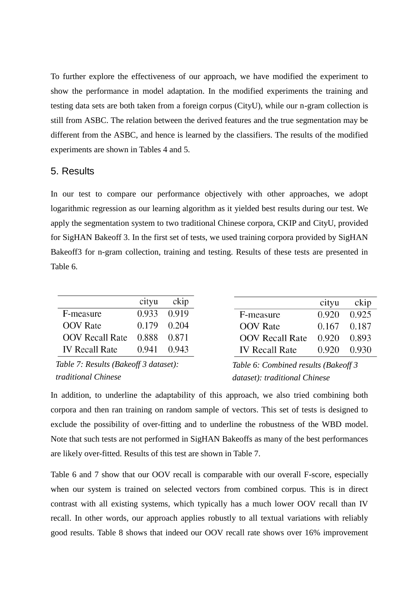To further explore the effectiveness of our approach, we have modified the experiment to show the performance in model adaptation. In the modified experiments the training and testing data sets are both taken from a foreign corpus (CityU), while our n-gram collection is still from ASBC. The relation between the derived features and the true segmentation may be different from the ASBC, and hence is learned by the classifiers. The results of the modified experiments are shown in Tables 4 and 5.

## 5. Results

In our test to compare our performance objectively with other approaches, we adopt logarithmic regression as our learning algorithm as it yielded best results during our test. We apply the segmentation system to two traditional Chinese corpora, CKIP and CityU, provided for SigHAN Bakeoff 3. In the first set of tests, we used training corpora provided by SigHAN Bakeoff3 for n-gram collection, training and testing. Results of these tests are presented in Table 6.

|                        | cityu | ckip        |
|------------------------|-------|-------------|
| F-measure              |       | 0.933 0.919 |
| <b>OOV</b> Rate        | 0.179 | 0.204       |
| <b>OOV Recall Rate</b> | 0.888 | 0.871       |
| <b>IV Recall Rate</b>  | 0.941 | 0.943       |

| Table 7: Results (Bakeoff 3 dataset): |
|---------------------------------------|
| traditional Chinese                   |

|                        | cityu           | ckip  |
|------------------------|-----------------|-------|
| F-measure              | 0.920           | 0.925 |
| <b>OOV</b> Rate        | $0.167$ $0.187$ |       |
| <b>OOV</b> Recall Rate | 0.920           | 0.893 |
| <b>IV Recall Rate</b>  | 0.920           | 0.930 |

*Table 6: Combined results (Bakeoff 3 dataset): traditional Chinese*

In addition, to underline the adaptability of this approach, we also tried combining both corpora and then ran training on random sample of vectors. This set of tests is designed to exclude the possibility of over-fitting and to underline the robustness of the WBD model. Note that such tests are not performed in SigHAN Bakeoffs as many of the best performances are likely over-fitted. Results of this test are shown in Table 7.

Table 6 and 7 show that our OOV recall is comparable with our overall F-score, especially when our system is trained on selected vectors from combined corpus. This is in direct contrast with all existing systems, which typically has a much lower OOV recall than IV recall. In other words, our approach applies robustly to all textual variations with reliably good results. Table 8 shows that indeed our OOV recall rate shows over 16% improvement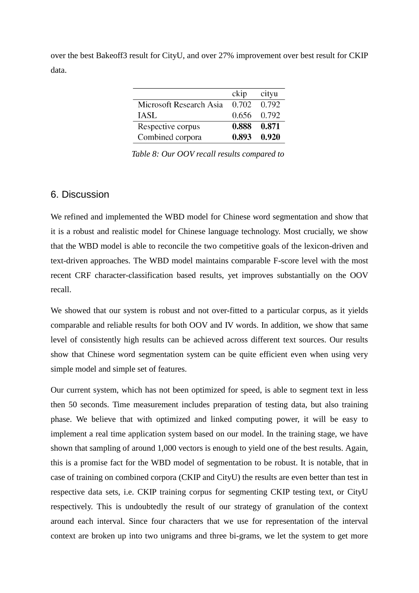over the best Bakeoff3 result for CityU, and over 27% improvement over best result for CKIP data.

|                         | ckip  | cityu |
|-------------------------|-------|-------|
| Microsoft Research Asia | 0.702 | 0.792 |
| IASL                    | 0.656 | 0.792 |
| Respective corpus       | 0.888 | 0.871 |
| Combined corpora        | 0.893 | 0.920 |

*Table 8: Our OOV recall results compared to* 

# 6. Discussion

We refined and implemented the WBD model for Chinese word segmentation and show that it is a robust and realistic model for Chinese language technology. Most crucially, we show that the WBD model is able to reconcile the two competitive goals of the lexicon-driven and text-driven approaches. The WBD model maintains comparable F-score level with the most recent CRF character-classification based results, yet improves substantially on the OOV recall.

We showed that our system is robust and not over-fitted to a particular corpus, as it yields comparable and reliable results for both OOV and IV words. In addition, we show that same level of consistently high results can be achieved across different text sources. Our results show that Chinese word segmentation system can be quite efficient even when using very simple model and simple set of features.

Our current system, which has not been optimized for speed, is able to segment text in less then 50 seconds. Time measurement includes preparation of testing data, but also training phase. We believe that with optimized and linked computing power, it will be easy to implement a real time application system based on our model. In the training stage, we have shown that sampling of around 1,000 vectors is enough to yield one of the best results. Again, this is a promise fact for the WBD model of segmentation to be robust. It is notable, that in case of training on combined corpora (CKIP and CityU) the results are even better than test in respective data sets, i.e. CKIP training corpus for segmenting CKIP testing text, or CityU respectively. This is undoubtedly the result of our strategy of granulation of the context around each interval. Since four characters that we use for representation of the interval context are broken up into two unigrams and three bi-grams, we let the system to get more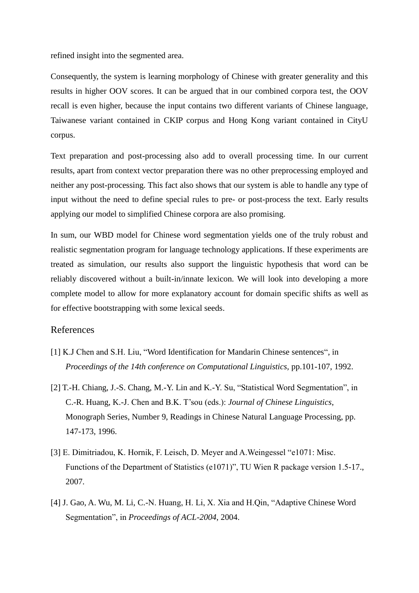refined insight into the segmented area.

Consequently, the system is learning morphology of Chinese with greater generality and this results in higher OOV scores. It can be argued that in our combined corpora test, the OOV recall is even higher, because the input contains two different variants of Chinese language, Taiwanese variant contained in CKIP corpus and Hong Kong variant contained in CityU corpus.

Text preparation and post-processing also add to overall processing time. In our current results, apart from context vector preparation there was no other preprocessing employed and neither any post-processing. This fact also shows that our system is able to handle any type of input without the need to define special rules to pre- or post-process the text. Early results applying our model to simplified Chinese corpora are also promising.

In sum, our WBD model for Chinese word segmentation yields one of the truly robust and realistic segmentation program for language technology applications. If these experiments are treated as simulation, our results also support the linguistic hypothesis that word can be reliably discovered without a built-in/innate lexicon. We will look into developing a more complete model to allow for more explanatory account for domain specific shifts as well as for effective bootstrapping with some lexical seeds.

#### References

- [1] K.J Chen and S.H. Liu, "Word Identification for Mandarin Chinese sentences", in *Proceedings of the 14th conference on Computational Linguistics,* pp.101-107, 1992.
- [2] T.-H. Chiang, J.-S. Chang, M.-Y. Lin and K.-Y. Su, "Statistical Word Segmentation", in C.-R. Huang, K.-J. Chen and B.K. T'sou (eds.): *Journal of Chinese Linguistics*, Monograph Series, Number 9, Readings in Chinese Natural Language Processing, pp. 147-173, 1996.
- [3] E. Dimitriadou, K. Hornik, F. Leisch, D. Meyer and A. Weingessel "e1071: Misc. Functions of the Department of Statistics (e1071)", TU Wien R package version 1.5-17., 2007.
- [4] J. Gao, A. Wu, M. Li, C.-N. Huang, H. Li, X. Xia and H.Qin, "Adaptive Chinese Word Segmentation", in *Proceedings of ACL-2004*, 2004.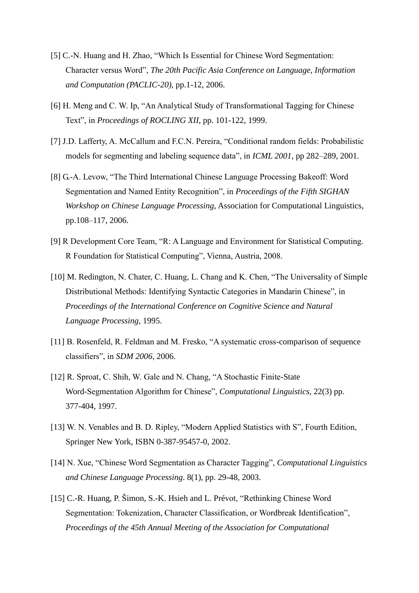- [5] C.-N. Huang and H. Zhao, "Which Is Essential for Chinese Word Segmentation: Character versus Word", *The 20th Pacific Asia Conference on Language*, *Information and Computation (PACLIC-20)*, pp.1-12, 2006.
- [6] H. Meng and C. W. Ip. "An Analytical Study of Transformational Tagging for Chinese Text", in *Proceedings of ROCLING XII*, pp. 101-122, 1999.
- [7] J.D. Lafferty, A. McCallum and F.C.N. Pereira, "Conditional random fields: Probabilistic models for segmenting and labeling sequence data", in *ICML 2001*, pp 282–289, 2001.
- [8] G.-A. Levow, "The Third International Chinese Language Processing Bakeoff: Word Segmentation and Named Entity Recognition", in *Proceedings of the Fifth SIGHAN Workshop on Chinese Language Processing*, Association for Computational Linguistics, pp.108–117, 2006.
- [9] R Development Core Team, "R: A Language and Environment for Statistical Computing. R Foundation for Statistical Computing", Vienna, Austria, 2008.
- [10] M. Redington, N. Chater, C. Huang, L. Chang and K. Chen, "The Universality of Simple Distributional Methods: Identifying Syntactic Categories in Mandarin Chinese", in *Proceedings of the International Conference on Cognitive Science and Natural Language Processing*, 1995.
- [11] B. Rosenfeld, R. Feldman and M. Fresko, "A systematic cross-comparison of sequence classifiers‖, in *SDM 2006*, 2006.
- [12] R. Sproat, C. Shih, W. Gale and N. Chang, "A Stochastic Finite-State Word-Segmentation Algorithm for Chinese", *Computational Linguistics*, 22(3) pp. 377-404, 1997.
- [13] W. N. Venables and B. D. Ripley, "Modern Applied Statistics with S", Fourth Edition, Springer New York, ISBN 0-387-95457-0, 2002.
- [14] N. Xue, "Chinese Word Segmentation as Character Tagging", *Computational Linguistics and Chinese Language Processing*. 8(1), pp. 29-48, 2003.
- [15] C.-R. Huang, P. Šimon, S.-K. Hsieh and L. Prévot, "Rethinking Chinese Word Segmentation: Tokenization, Character Classification, or Wordbreak Identification", *Proceedings of the 45th Annual Meeting of the Association for Computational*